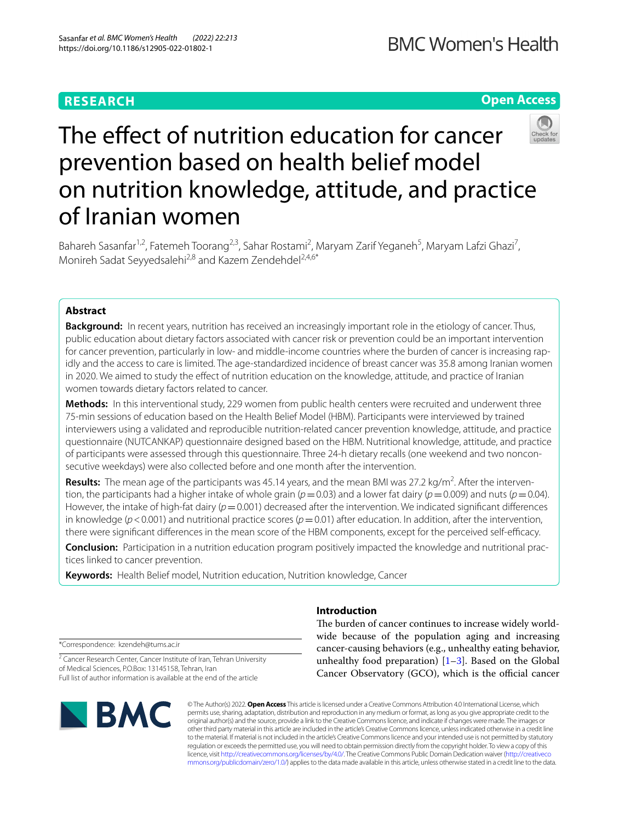## **RESEARCH**

**Open Access**

# The effect of nutrition education for cancer prevention based on health belief model on nutrition knowledge, attitude, and practice of Iranian women

Bahareh Sasanfar<sup>1,2</sup>, Fatemeh Toorang<sup>2,3</sup>, Sahar Rostami<sup>2</sup>, Maryam Zarif Yeganeh<sup>5</sup>, Maryam Lafzi Ghazi<sup>7</sup>, Monireh Sadat Seyyedsalehi<sup>2,8</sup> and Kazem Zendehdel<sup>2,4,6\*</sup>

## **Abstract**

**Background:** In recent years, nutrition has received an increasingly important role in the etiology of cancer. Thus, public education about dietary factors associated with cancer risk or prevention could be an important intervention for cancer prevention, particularly in low- and middle-income countries where the burden of cancer is increasing rapidly and the access to care is limited. The age-standardized incidence of breast cancer was 35.8 among Iranian women in 2020. We aimed to study the efect of nutrition education on the knowledge, attitude, and practice of Iranian women towards dietary factors related to cancer.

**Methods:** In this interventional study, 229 women from public health centers were recruited and underwent three 75-min sessions of education based on the Health Belief Model (HBM). Participants were interviewed by trained interviewers using a validated and reproducible nutrition-related cancer prevention knowledge, attitude, and practice questionnaire (NUTCANKAP) questionnaire designed based on the HBM. Nutritional knowledge, attitude, and practice of participants were assessed through this questionnaire. Three 24-h dietary recalls (one weekend and two nonconsecutive weekdays) were also collected before and one month after the intervention.

Results: The mean age of the participants was 45.14 years, and the mean BMI was 27.2 kg/m<sup>2</sup>. After the intervention, the participants had a higher intake of whole grain ( $p=0.03$ ) and a lower fat dairy ( $p=0.009$ ) and nuts ( $p=0.04$ ). However, the intake of high-fat dairy ( $p=0.001$ ) decreased after the intervention. We indicated significant differences in knowledge ( $p$ <0.001) and nutritional practice scores ( $p$ =0.01) after education. In addition, after the intervention, there were significant differences in the mean score of the HBM components, except for the perceived self-efficacy.

**Conclusion:** Participation in a nutrition education program positively impacted the knowledge and nutritional practices linked to cancer prevention.

**Keywords:** Health Belief model, Nutrition education, Nutrition knowledge, Cancer

\*Correspondence: kzendeh@tums.ac.ir

<sup>2</sup> Cancer Research Center, Cancer Institute of Iran, Tehran University of Medical Sciences, P.O.Box: 13145158, Tehran, Iran Full list of author information is available at the end of the article



## **Introduction**

The burden of cancer continues to increase widely worldwide because of the population aging and increasing cancer-causing behaviors (e.g., unhealthy eating behavior, unhealthy food preparation)  $[1-3]$  $[1-3]$  $[1-3]$ . Based on the Global Cancer Observatory (GCO), which is the official cancer

© The Author(s) 2022. **Open Access** This article is licensed under a Creative Commons Attribution 4.0 International License, which permits use, sharing, adaptation, distribution and reproduction in any medium or format, as long as you give appropriate credit to the original author(s) and the source, provide a link to the Creative Commons licence, and indicate if changes were made. The images or other third party material in this article are included in the article's Creative Commons licence, unless indicated otherwise in a credit line to the material. If material is not included in the article's Creative Commons licence and your intended use is not permitted by statutory regulation or exceeds the permitted use, you will need to obtain permission directly from the copyright holder. To view a copy of this licence, visit [http://creativecommons.org/licenses/by/4.0/.](http://creativecommons.org/licenses/by/4.0/) The Creative Commons Public Domain Dedication waiver ([http://creativeco](http://creativecommons.org/publicdomain/zero/1.0/) [mmons.org/publicdomain/zero/1.0/](http://creativecommons.org/publicdomain/zero/1.0/)) applies to the data made available in this article, unless otherwise stated in a credit line to the data.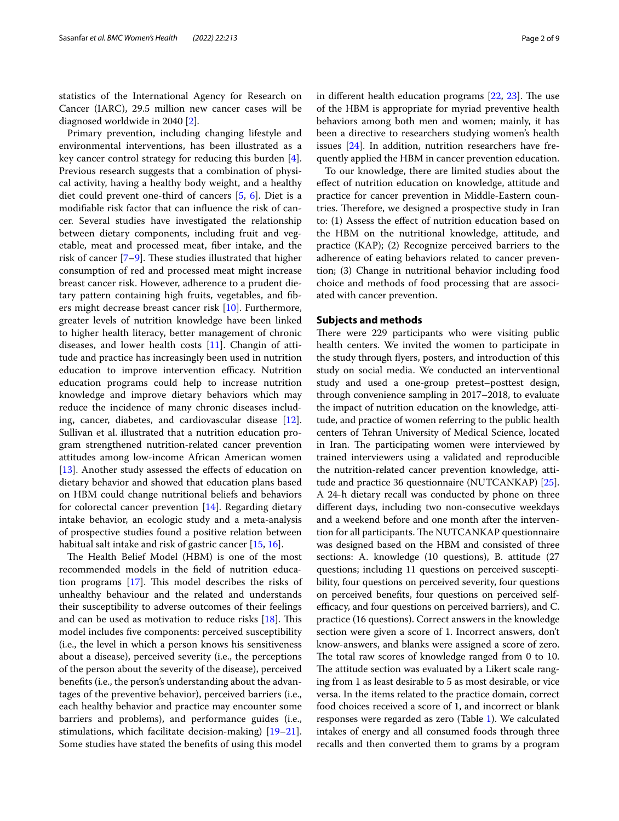statistics of the International Agency for Research on Cancer (IARC), 29.5 million new cancer cases will be diagnosed worldwide in 2040 [[2](#page-7-2)].

Primary prevention, including changing lifestyle and environmental interventions, has been illustrated as a key cancer control strategy for reducing this burden [\[4](#page-7-3)]. Previous research suggests that a combination of physical activity, having a healthy body weight, and a healthy diet could prevent one-third of cancers [[5,](#page-7-4) [6](#page-7-5)]. Diet is a modifable risk factor that can infuence the risk of cancer. Several studies have investigated the relationship between dietary components, including fruit and vegetable, meat and processed meat, fber intake, and the risk of cancer  $[7-9]$  $[7-9]$ . These studies illustrated that higher consumption of red and processed meat might increase breast cancer risk. However, adherence to a prudent dietary pattern containing high fruits, vegetables, and fbers might decrease breast cancer risk [\[10](#page-7-8)]. Furthermore, greater levels of nutrition knowledge have been linked to higher health literacy, better management of chronic diseases, and lower health costs [[11\]](#page-7-9). Changin of attitude and practice has increasingly been used in nutrition education to improve intervention efficacy. Nutrition education programs could help to increase nutrition knowledge and improve dietary behaviors which may reduce the incidence of many chronic diseases including, cancer, diabetes, and cardiovascular disease [\[12](#page-7-10)]. Sullivan et al. illustrated that a nutrition education program strengthened nutrition-related cancer prevention attitudes among low-income African American women [[13\]](#page-7-11). Another study assessed the effects of education on dietary behavior and showed that education plans based on HBM could change nutritional beliefs and behaviors for colorectal cancer prevention  $[14]$  $[14]$ . Regarding dietary intake behavior, an ecologic study and a meta-analysis of prospective studies found a positive relation between habitual salt intake and risk of gastric cancer [\[15](#page-7-13), [16\]](#page-7-14).

The Health Belief Model (HBM) is one of the most recommended models in the feld of nutrition education programs  $[17]$ . This model describes the risks of unhealthy behaviour and the related and understands their susceptibility to adverse outcomes of their feelings and can be used as motivation to reduce risks  $[18]$  $[18]$ . This model includes fve components: perceived susceptibility (i.e., the level in which a person knows his sensitiveness about a disease), perceived severity (i.e., the perceptions of the person about the severity of the disease), perceived benefts (i.e., the person's understanding about the advantages of the preventive behavior), perceived barriers (i.e., each healthy behavior and practice may encounter some barriers and problems), and performance guides (i.e., stimulations, which facilitate decision-making) [[19](#page-7-17)[–21](#page-7-18)]. Some studies have stated the benefts of using this model in different health education programs  $[22, 23]$  $[22, 23]$  $[22, 23]$ . The use of the HBM is appropriate for myriad preventive health behaviors among both men and women; mainly, it has been a directive to researchers studying women's health issues [\[24\]](#page-7-21). In addition, nutrition researchers have frequently applied the HBM in cancer prevention education.

To our knowledge, there are limited studies about the efect of nutrition education on knowledge, attitude and practice for cancer prevention in Middle-Eastern countries. Therefore, we designed a prospective study in Iran to: (1) Assess the efect of nutrition education based on the HBM on the nutritional knowledge, attitude, and practice (KAP); (2) Recognize perceived barriers to the adherence of eating behaviors related to cancer prevention; (3) Change in nutritional behavior including food choice and methods of food processing that are associated with cancer prevention.

#### **Subjects and methods**

There were 229 participants who were visiting public health centers. We invited the women to participate in the study through fyers, posters, and introduction of this study on social media. We conducted an interventional study and used a one-group pretest–posttest design, through convenience sampling in 2017–2018, to evaluate the impact of nutrition education on the knowledge, attitude, and practice of women referring to the public health centers of Tehran University of Medical Science, located in Iran. The participating women were interviewed by trained interviewers using a validated and reproducible the nutrition-related cancer prevention knowledge, attitude and practice 36 questionnaire (NUTCANKAP) [\[25](#page-7-22)]. A 24-h dietary recall was conducted by phone on three diferent days, including two non-consecutive weekdays and a weekend before and one month after the intervention for all participants. The NUTCANKAP questionnaire was designed based on the HBM and consisted of three sections: A. knowledge (10 questions), B. attitude (27 questions; including 11 questions on perceived susceptibility, four questions on perceived severity, four questions on perceived benefts, four questions on perceived selfefficacy, and four questions on perceived barriers), and C. practice (16 questions). Correct answers in the knowledge section were given a score of 1. Incorrect answers, don't know-answers, and blanks were assigned a score of zero. The total raw scores of knowledge ranged from 0 to 10. The attitude section was evaluated by a Likert scale ranging from 1 as least desirable to 5 as most desirable, or vice versa. In the items related to the practice domain, correct food choices received a score of 1, and incorrect or blank responses were regarded as zero (Table [1\)](#page-2-0). We calculated intakes of energy and all consumed foods through three recalls and then converted them to grams by a program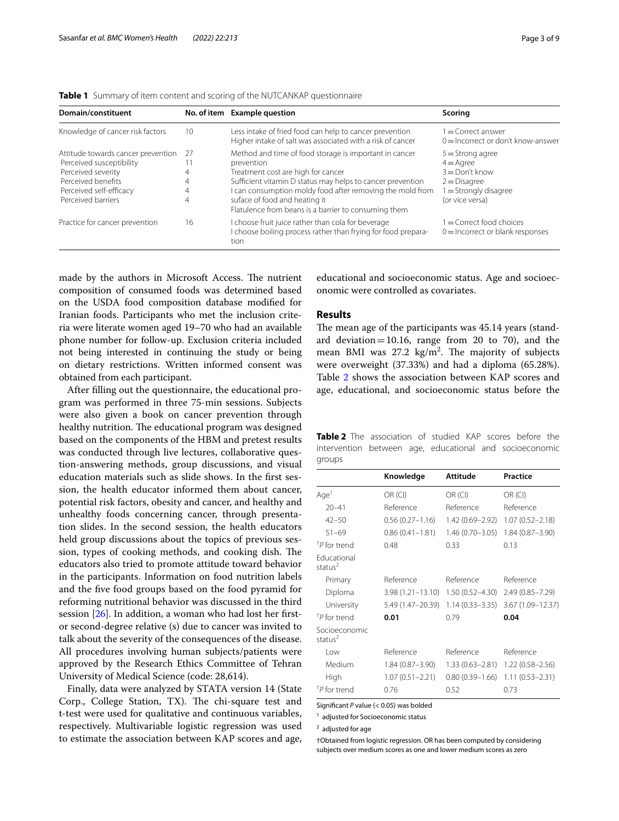| Domain/constituent                                                                                                                                          |              | No. of item Example question                                                                                                                                                                                                                                                                                                   | Scoring                                                                                                                     |
|-------------------------------------------------------------------------------------------------------------------------------------------------------------|--------------|--------------------------------------------------------------------------------------------------------------------------------------------------------------------------------------------------------------------------------------------------------------------------------------------------------------------------------|-----------------------------------------------------------------------------------------------------------------------------|
| Knowledge of cancer risk factors                                                                                                                            | 10           | Less intake of fried food can help to cancer prevention<br>Higher intake of salt was associated with a risk of cancer                                                                                                                                                                                                          | $1 =$ Correct answer<br>$0 =$ Incorrect or don't know-answer                                                                |
| Attitude towards cancer prevention<br>Perceived susceptibility<br>Perceived severity<br>Perceived benefits<br>Perceived self-efficacy<br>Perceived barriers | 27<br>4<br>4 | Method and time of food storage is important in cancer<br>prevention<br>Treatment cost are high for cancer<br>Sufficient vitamin D status may helps to cancer prevention<br>I can consumption moldy food after removing the mold from<br>suface of food and heating it<br>Flatulence from beans is a barrier to consuming them | $5 =$ Strong agree<br>$4 = \text{A}$ gree<br>$3 =$ Don't know<br>$2 = Disagree$<br>1 = Strongly disagree<br>(or vice versa) |
| Practice for cancer prevention                                                                                                                              | 16           | I choose fruit juice rather than cola for beverage<br>I choose boiling process rather than frying for food prepara-<br>tion                                                                                                                                                                                                    | $1 =$ Correct food choices<br>$0 =$ Incorrect or blank responses                                                            |

<span id="page-2-0"></span>

|  | <b>Table 1</b> Summary of item content and scoring of the NUTCANKAP questionnaire |  |
|--|-----------------------------------------------------------------------------------|--|
|  |                                                                                   |  |

made by the authors in Microsoft Access. The nutrient composition of consumed foods was determined based on the USDA food composition database modifed for Iranian foods. Participants who met the inclusion criteria were literate women aged 19–70 who had an available phone number for follow-up. Exclusion criteria included not being interested in continuing the study or being on dietary restrictions. Written informed consent was obtained from each participant.

After flling out the questionnaire, the educational program was performed in three 75-min sessions. Subjects were also given a book on cancer prevention through healthy nutrition. The educational program was designed based on the components of the HBM and pretest results was conducted through live lectures, collaborative question-answering methods, group discussions, and visual education materials such as slide shows. In the frst session, the health educator informed them about cancer, potential risk factors, obesity and cancer, and healthy and unhealthy foods concerning cancer, through presentation slides. In the second session, the health educators held group discussions about the topics of previous session, types of cooking methods, and cooking dish. The educators also tried to promote attitude toward behavior in the participants. Information on food nutrition labels and the fve food groups based on the food pyramid for reforming nutritional behavior was discussed in the third session [[26\]](#page-8-0). In addition, a woman who had lost her frstor second-degree relative (s) due to cancer was invited to talk about the severity of the consequences of the disease. All procedures involving human subjects/patients were approved by the Research Ethics Committee of Tehran University of Medical Science (code: 28,614).

Finally, data were analyzed by STATA version 14 (State Corp., College Station, TX). The chi-square test and t-test were used for qualitative and continuous variables, respectively. Multivariable logistic regression was used to estimate the association between KAP scores and age,

educational and socioeconomic status. Age and socioeconomic were controlled as covariates.

## **Results**

The mean age of the participants was 45.14 years (standard deviation = 10.16, range from 20 to 70), and the mean BMI was  $27.2 \text{ kg/m}^2$ . The majority of subjects were overweight (37.33%) and had a diploma (65.28%). Table [2](#page-2-1) shows the association between KAP scores and age, educational, and socioeconomic status before the

<span id="page-2-1"></span>

| Table 2 The association of studied KAP scores before the |  |  |  |  |
|----------------------------------------------------------|--|--|--|--|
| intervention between age, educational and socioeconomic  |  |  |  |  |
| groups                                                   |  |  |  |  |

|                              | Knowledge            | <b>Attitude</b>     | <b>Practice</b>     |
|------------------------------|----------------------|---------------------|---------------------|
| Age <sup>1</sup>             | OR (CI)              | OR (CI)             | OR (CI)             |
| $20 - 41$                    | Reference            | Reference           | Reference           |
| $42 - 50$                    | $0.56(0.27 - 1.16)$  | 1.42 (0.69-2.92)    | $1.07(0.52 - 2.18)$ |
| $51 - 69$                    | $0.86(0.41 - 1.81)$  | $1.46(0.70 - 3.05)$ | $1.84(0.87 - 3.90)$ |
| <sup>†</sup> P for trend     | 0.48                 | 0.33                | 0.13                |
| Educational<br>status $^2$   |                      |                     |                     |
| Primary                      | Reference            | Reference           | Reference           |
| Diploma                      | $3.98(1.21 - 13.10)$ | $1.50(0.52 - 4.30)$ | $2.49(0.85 - 7.29)$ |
| University                   | 5.49 (1.47-20.39)    | $1.14(0.33 - 3.35)$ | 3.67 (1.09-12.37)   |
| <sup>†</sup> P for trend     | 0.01                 | 0.79                | 0.04                |
| Socioeconomic<br>status $^2$ |                      |                     |                     |
| l ow                         | Reference            | Reference           | Reference           |
| Medium                       | 1.84 (0.87-3.90)     | $1.33(0.63 - 2.81)$ | $1.22(0.58 - 2.56)$ |
| High                         | $1.07(0.51 - 2.21)$  | $0.80(0.39 - 1.66)$ | $1.11(0.53 - 2.31)$ |
| <sup>†</sup> P for trend     | 0.76                 | 0.52                | 0.73                |

Signifcant *P* value (< 0.05) was bolded

<sup>1</sup> adjusted for Socioeconomic status

2 adjusted for age

†Obtained from logistic regression. OR has been computed by considering subjects over medium scores as one and lower medium scores as zero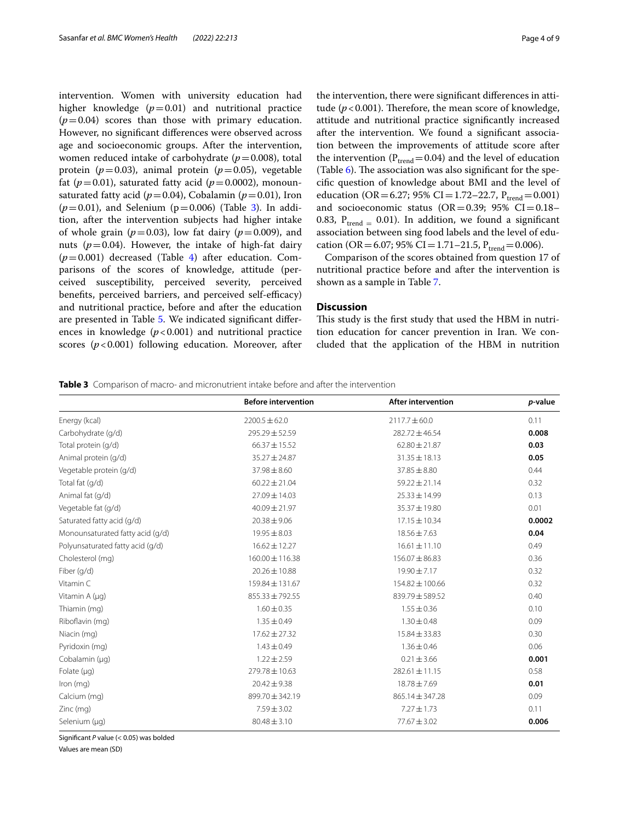intervention. Women with university education had higher knowledge  $(p=0.01)$  and nutritional practice  $(p=0.04)$  scores than those with primary education. However, no signifcant diferences were observed across age and socioeconomic groups. After the intervention, women reduced intake of carbohydrate  $(p=0.008)$ , total protein ( $p=0.03$ ), animal protein ( $p=0.05$ ), vegetable fat ( $p=0.01$ ), saturated fatty acid ( $p=0.0002$ ), monounsaturated fatty acid ( $p=0.04$ ), Cobalamin ( $p=0.01$ ), Iron  $(p=0.01)$ , and Selenium ( $p=0.006$ ) (Table [3\)](#page-3-0). In addition, after the intervention subjects had higher intake of whole grain ( $p=0.03$ ), low fat dairy ( $p=0.009$ ), and nuts ( $p=0.04$ ). However, the intake of high-fat dairy  $(p=0.001)$  decreased (Table [4\)](#page-4-0) after education. Comparisons of the scores of knowledge, attitude (perceived susceptibility, perceived severity, perceived benefits, perceived barriers, and perceived self-efficacy) and nutritional practice, before and after the education are presented in Table [5.](#page-4-1) We indicated signifcant diferences in knowledge  $(p<0.001)$  and nutritional practice scores ( $p$ <0.001) following education. Moreover, after the intervention, there were signifcant diferences in attitude ( $p < 0.001$ ). Therefore, the mean score of knowledge, attitude and nutritional practice signifcantly increased after the intervention. We found a signifcant association between the improvements of attitude score after the intervention ( $P_{trend}$ =0.04) and the level of education (Table  $6$ ). The association was also significant for the specifc question of knowledge about BMI and the level of education (OR=6.27; 95% CI=1.72–22.7,  $P_{trend}$ =0.001) and socioeconomic status (OR=0.39; 95% CI=0.18– 0.83,  $P_{trend} = 0.01$ ). In addition, we found a significant association between sing food labels and the level of education (OR = 6.07; 95% CI = 1.71–21.5,  $P_{trend}$  = 0.006).

Comparison of the scores obtained from question 17 of nutritional practice before and after the intervention is shown as a sample in Table [7](#page-5-1).

## **Discussion**

This study is the first study that used the HBM in nutrition education for cancer prevention in Iran. We concluded that the application of the HBM in nutrition

<span id="page-3-0"></span>**Table 3** Comparison of macro- and micronutrient intake before and after the intervention

|                                  | <b>Before intervention</b> | <b>After intervention</b> | p-value |
|----------------------------------|----------------------------|---------------------------|---------|
| Energy (kcal)                    | $2200.5 \pm 62.0$          | $2117.7 \pm 60.0$         | 0.11    |
| Carbohydrate (q/d)               | $295.29 \pm 52.59$         | $282.72 \pm 46.54$        | 0.008   |
| Total protein (g/d)              | $66.37 \pm 15.52$          | $62.80 \pm 21.87$         | 0.03    |
| Animal protein (g/d)             | 35.27 ± 24.87              | $31.35 \pm 18.13$         | 0.05    |
| Vegetable protein (g/d)          | $37.98 \pm 8.60$           | $37.85 \pm 8.80$          | 0.44    |
| Total fat (q/d)                  | $60.22 \pm 21.04$          | $59.22 \pm 21.14$         | 0.32    |
| Animal fat (q/d)                 | $27.09 \pm 14.03$          | $25.33 \pm 14.99$         | 0.13    |
| Vegetable fat (g/d)              | $40.09 \pm 21.97$          | 35.37 ± 19.80             | 0.01    |
| Saturated fatty acid (g/d)       | $20.38 \pm 9.06$           | $17.15 \pm 10.34$         | 0.0002  |
| Monounsaturated fatty acid (g/d) | $19.95 \pm 8.03$           | $18.56 \pm 7.63$          | 0.04    |
| Polyunsaturated fatty acid (q/d) | $16.62 \pm 12.27$          | $16.61 \pm 11.10$         | 0.49    |
| Cholesterol (mg)                 | $160.00 \pm 116.38$        | $156.07 \pm 86.83$        | 0.36    |
| Fiber (g/d)                      | $20.26 \pm 10.88$          | $19.90 \pm 7.17$          | 0.32    |
| Vitamin C                        | $159.84 \pm 131.67$        | 154.82 ± 100.66           | 0.32    |
| Vitamin A (µq)                   | $855.33 \pm 792.55$        | $839.79 \pm 589.52$       | 0.40    |
| Thiamin (mg)                     | $1.60 \pm 0.35$            | $1.55 \pm 0.36$           | 0.10    |
| Riboflavin (mg)                  | $1.35 \pm 0.49$            | $1.30 \pm 0.48$           | 0.09    |
| Niacin (mg)                      | $17.62 \pm 27.32$          | $15.84 \pm 33.83$         | 0.30    |
| Pyridoxin (mg)                   | $1.43 \pm 0.49$            | $1.36 \pm 0.46$           | 0.06    |
| Cobalamin (µq)                   | $1.22 \pm 2.59$            | $0.21 \pm 3.66$           | 0.001   |
| Folate $(\mu q)$                 | $279.78 \pm 10.63$         | $282.61 \pm 11.15$        | 0.58    |
| Iron $(mq)$                      | $20.42 \pm 9.38$           | $18.78 \pm 7.69$          | 0.01    |
| Calcium (mg)                     | 899.70 ± 342.19            | $865.14 \pm 347.28$       | 0.09    |
| Zinc (mg)                        | $7.59 \pm 3.02$            | $7.27 \pm 1.73$           | 0.11    |
| Selenium (µg)                    | $80.48 \pm 3.10$           | $77.67 \pm 3.02$          | 0.006   |

Signifcant *P* value (< 0.05) was bolded

Values are mean (SD)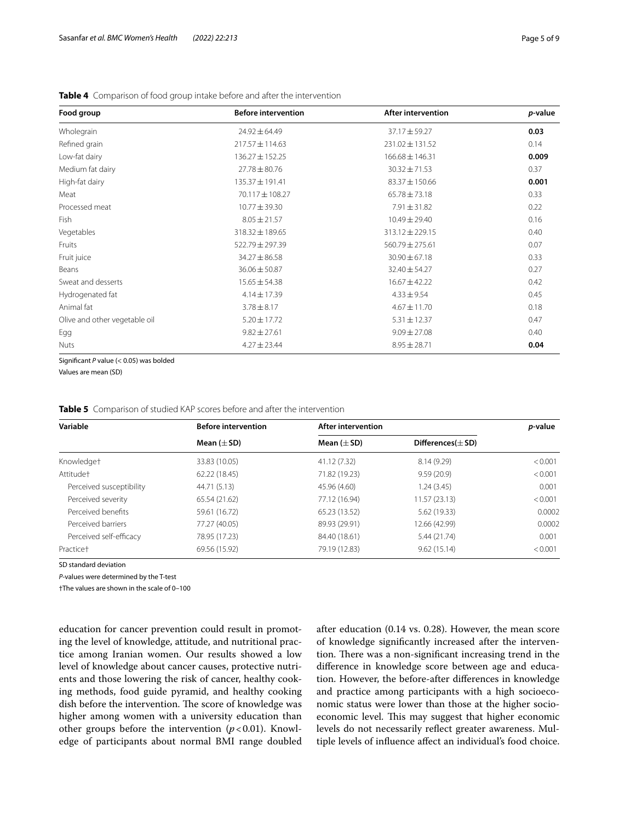| Food group                    | <b>Before intervention</b> | <b>After intervention</b> | p-value |
|-------------------------------|----------------------------|---------------------------|---------|
| Wholegrain                    | $24.92 \pm 64.49$          | $37.17 \pm 59.27$         | 0.03    |
| Refined grain                 | $217.57 \pm 114.63$        | 231.02 ± 131.52           | 0.14    |
| Low-fat dairy                 | $136.27 \pm 152.25$        | $166.68 \pm 146.31$       | 0.009   |
| Medium fat dairy              | $27.78 \pm 80.76$          | $30.32 \pm 71.53$         | 0.37    |
| High-fat dairy                | 135.37 ± 191.41            | $83.37 \pm 150.66$        | 0.001   |
| Meat                          | 70.117 ± 108.27            | $65.78 \pm 73.18$         | 0.33    |
| Processed meat                | $10.77 \pm 39.30$          | $7.91 \pm 31.82$          | 0.22    |
| Fish                          | $8.05 \pm 21.57$           | $10.49 \pm 29.40$         | 0.16    |
| Vegetables                    | 318.32 ± 189.65            | $313.12 \pm 229.15$       | 0.40    |
| Fruits                        | $522.79 \pm 297.39$        | $560.79 \pm 275.61$       | 0.07    |
| Fruit juice                   | $34.27 \pm 86.58$          | $30.90 \pm 67.18$         | 0.33    |
| Beans                         | $36.06 \pm 50.87$          | $32.40 \pm 54.27$         | 0.27    |
| Sweat and desserts            | $15.65 \pm 54.38$          | $16.67 \pm 42.22$         | 0.42    |
| Hydrogenated fat              | $4.14 \pm 17.39$           | $4.33 \pm 9.54$           | 0.45    |
| Animal fat                    | $3.78 \pm 8.17$            | $4.67 \pm 11.70$          | 0.18    |
| Olive and other vegetable oil | $5.20 \pm 17.72$           | $5.31 \pm 12.37$          | 0.47    |
| Egg                           | $9.82 \pm 27.61$           | $9.09 \pm 27.08$          | 0.40    |
| <b>Nuts</b>                   | $4.27 \pm 23.44$           | $8.95 \pm 28.71$          | 0.04    |

#### <span id="page-4-0"></span>**Table 4** Comparison of food group intake before and after the intervention

Signifcant *P* value (< 0.05) was bolded

Values are mean (SD)

<span id="page-4-1"></span>

| Variable                 | <b>Before intervention</b> | After intervention |                        |         |  |
|--------------------------|----------------------------|--------------------|------------------------|---------|--|
|                          | Mean $(\pm$ SD)            | Mean $(\pm SD)$    | Differences $(\pm$ SD) |         |  |
| Knowledget               | 33.83 (10.05)              | 41.12 (7.32)       | 8.14(9.29)             | < 0.001 |  |
| Attitude <sup>+</sup>    | 62.22 (18.45)              | 71.82 (19.23)      | 9.59(20.9)             | < 0.001 |  |
| Perceived susceptibility | 44.71 (5.13)               | 45.96 (4.60)       | 1.24(3.45)             | 0.001   |  |
| Perceived severity       | 65.54 (21.62)              | 77.12 (16.94)      | 11.57(23.13)           | < 0.001 |  |
| Perceived benefits       | 59.61 (16.72)              | 65.23 (13.52)      | 5.62 (19.33)           | 0.0002  |  |
| Perceived barriers       | 77.27 (40.05)              | 89.93 (29.91)      | 12.66 (42.99)          | 0.0002  |  |
| Perceived self-efficacy  | 78.95 (17.23)              | 84.40 (18.61)      | 5.44 (21.74)           | 0.001   |  |
| Practice <sup>+</sup>    | 69.56 (15.92)              | 79.19 (12.83)      | 9.62(15.14)            | < 0.001 |  |

SD standard deviation

*P*-values were determined by the T-test

†The values are shown in the scale of 0–100

education for cancer prevention could result in promoting the level of knowledge, attitude, and nutritional practice among Iranian women. Our results showed a low level of knowledge about cancer causes, protective nutrients and those lowering the risk of cancer, healthy cooking methods, food guide pyramid, and healthy cooking dish before the intervention. The score of knowledge was higher among women with a university education than other groups before the intervention  $(p<0.01)$ . Knowledge of participants about normal BMI range doubled after education (0.14 vs. 0.28). However, the mean score of knowledge signifcantly increased after the intervention. There was a non-significant increasing trend in the diference in knowledge score between age and education. However, the before-after diferences in knowledge and practice among participants with a high socioeconomic status were lower than those at the higher socioeconomic level. This may suggest that higher economic levels do not necessarily reflect greater awareness. Multiple levels of infuence afect an individual's food choice.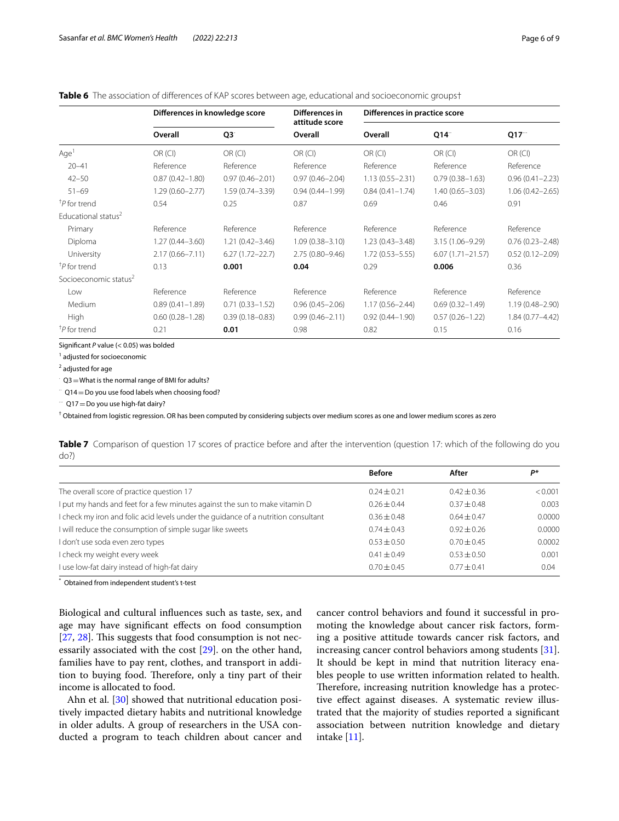### <span id="page-5-0"></span>**Table 6** The association of differences of KAP scores between age, educational and socioeconomic groups†

|                                   | Differences in knowledge score |                     | Differences in<br>attitude score | Differences in practice score |                      |                     |
|-----------------------------------|--------------------------------|---------------------|----------------------------------|-------------------------------|----------------------|---------------------|
|                                   | Overall                        | Q3                  | Overall                          | Overall                       | Q14                  | Q17                 |
| Age <sup>1</sup>                  | OR (CI)                        | OR (Cl)             | OR (CI)                          | OR (CI)                       | OR (CI)              | OR (Cl)             |
| $20 - 41$                         | Reference                      | Reference           | Reference                        | Reference                     | Reference            | Reference           |
| $42 - 50$                         | $0.87(0.42 - 1.80)$            | $0.97(0.46 - 2.01)$ | $0.97(0.46 - 2.04)$              | $1.13(0.55 - 2.31)$           | $0.79(0.38 - 1.63)$  | $0.96(0.41 - 2.23)$ |
| $51 - 69$                         | $1.29(0.60 - 2.77)$            | $1.59(0.74 - 3.39)$ | $0.94(0.44 - 1.99)$              | $0.84(0.41 - 1.74)$           | $1.40(0.65 - 3.03)$  | $1.06(0.42 - 2.65)$ |
| <sup>†</sup> P for trend          | 0.54                           | 0.25                | 0.87                             | 0.69                          | 0.46                 | 0.91                |
| Educational status <sup>2</sup>   |                                |                     |                                  |                               |                      |                     |
| Primary                           | Reference                      | Reference           | Reference                        | Reference                     | Reference            | Reference           |
| Diploma                           | $1.27(0.44 - 3.60)$            | $1.21(0.42 - 3.46)$ | $1.09(0.38 - 3.10)$              | $1.23(0.43 - 3.48)$           | $3.15(1.06 - 9.29)$  | $0.76(0.23 - 2.48)$ |
| University                        | $2.17(0.66 - 7.11)$            | $6.27(1.72 - 22.7)$ | $2.75(0.80 - 9.46)$              | $1.72(0.53 - 5.55)$           | $6.07(1.71 - 21.57)$ | $0.52(0.12 - 2.09)$ |
| <sup>†</sup> P for trend          | 0.13                           | 0.001               | 0.04                             | 0.29                          | 0.006                | 0.36                |
| Socioeconomic status <sup>2</sup> |                                |                     |                                  |                               |                      |                     |
| Low                               | Reference                      | Reference           | Reference                        | Reference                     | Reference            | Reference           |
| Medium                            | $0.89(0.41 - 1.89)$            | $0.71(0.33 - 1.52)$ | $0.96(0.45 - 2.06)$              | $1.17(0.56 - 2.44)$           | $0.69(0.32 - 1.49)$  | $1.19(0.48 - 2.90)$ |
| High                              | $0.60(0.28 - 1.28)$            | $0.39(0.18 - 0.83)$ | $0.99(0.46 - 2.11)$              | $0.92(0.44 - 1.90)$           | $0.57(0.26 - 1.22)$  | $1.84(0.77 - 4.42)$ |
| <sup>†</sup> P for trend          | 0.21                           | 0.01                | 0.98                             | 0.82                          | 0.15                 | 0.16                |

Signifcant *P* value (< 0.05) was bolded

<sup>1</sup> adjusted for socioeconomic

<sup>2</sup> adjusted for age

 $\in$  Q3  $=$  What is the normal range of BMI for adults?

 $\degree$  Q14 = Do you use food labels when choosing food?

⁕⁕⁕ Q17=Do you use high-fat dairy?

<sup>†</sup> Obtained from logistic regression. OR has been computed by considering subjects over medium scores as one and lower medium scores as zero

<span id="page-5-1"></span>**Table 7** Comparison of question 17 scores of practice before and after the intervention (question 17: which of the following do you do?)

|                                                                                    | <b>Before</b>   | After           | D*      |
|------------------------------------------------------------------------------------|-----------------|-----------------|---------|
| The overall score of practice question 17                                          | $0.24 + 0.21$   | $0.42 \pm 0.36$ | < 0.001 |
| I put my hands and feet for a few minutes against the sun to make vitamin D        | $0.26 \pm 0.44$ | $0.37 \pm 0.48$ | 0.003   |
| I check my iron and folic acid levels under the quidance of a nutrition consultant | $0.36 + 0.48$   | $0.64 + 0.47$   | 0.0000  |
| I will reduce the consumption of simple sugar like sweets                          | $0.74 + 0.43$   | $0.92 + 0.26$   | 0.0000  |
| I don't use soda even zero types                                                   | $0.53 \pm 0.50$ | $0.70 \pm 0.45$ | 0.0002  |
| I check my weight every week                                                       | $0.41 \pm 0.49$ | $0.53 + 0.50$   | 0.001   |
| I use low-fat dairy instead of high-fat dairy                                      | $0.70 \pm 0.45$ | $0.77 + 0.41$   | 0.04    |

\* Obtained from independent student's t-test

Biological and cultural infuences such as taste, sex, and age may have significant effects on food consumption  $[27, 28]$  $[27, 28]$  $[27, 28]$  $[27, 28]$ . This suggests that food consumption is not necessarily associated with the cost [[29\]](#page-8-3). on the other hand, families have to pay rent, clothes, and transport in addition to buying food. Therefore, only a tiny part of their income is allocated to food.

Ahn et al. [\[30\]](#page-8-4) showed that nutritional education positively impacted dietary habits and nutritional knowledge in older adults. A group of researchers in the USA conducted a program to teach children about cancer and cancer control behaviors and found it successful in promoting the knowledge about cancer risk factors, forming a positive attitude towards cancer risk factors, and increasing cancer control behaviors among students [\[31](#page-8-5)]. It should be kept in mind that nutrition literacy enables people to use written information related to health. Therefore, increasing nutrition knowledge has a protective efect against diseases. A systematic review illustrated that the majority of studies reported a signifcant association between nutrition knowledge and dietary intake [\[11](#page-7-9)].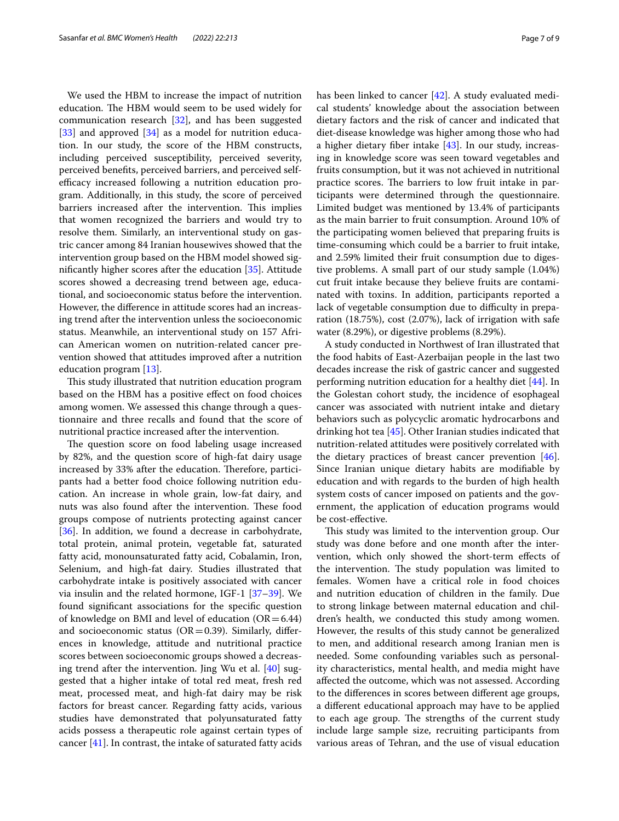We used the HBM to increase the impact of nutrition education. The HBM would seem to be used widely for communication research  $[32]$  $[32]$ , and has been suggested [[33\]](#page-8-7) and approved [[34](#page-8-8)] as a model for nutrition education. In our study, the score of the HBM constructs, including perceived susceptibility, perceived severity, perceived benefts, perceived barriers, and perceived selfefficacy increased following a nutrition education program. Additionally, in this study, the score of perceived barriers increased after the intervention. This implies that women recognized the barriers and would try to resolve them. Similarly, an interventional study on gastric cancer among 84 Iranian housewives showed that the intervention group based on the HBM model showed signifcantly higher scores after the education [[35](#page-8-9)]. Attitude scores showed a decreasing trend between age, educational, and socioeconomic status before the intervention. However, the diference in attitude scores had an increasing trend after the intervention unless the socioeconomic status. Meanwhile, an interventional study on 157 African American women on nutrition-related cancer prevention showed that attitudes improved after a nutrition education program [\[13](#page-7-11)].

This study illustrated that nutrition education program based on the HBM has a positive efect on food choices among women. We assessed this change through a questionnaire and three recalls and found that the score of nutritional practice increased after the intervention.

The question score on food labeling usage increased by 82%, and the question score of high-fat dairy usage increased by 33% after the education. Therefore, participants had a better food choice following nutrition education. An increase in whole grain, low-fat dairy, and nuts was also found after the intervention. These food groups compose of nutrients protecting against cancer [[36\]](#page-8-10). In addition, we found a decrease in carbohydrate, total protein, animal protein, vegetable fat, saturated fatty acid, monounsaturated fatty acid, Cobalamin, Iron, Selenium, and high-fat dairy. Studies illustrated that carbohydrate intake is positively associated with cancer via insulin and the related hormone, IGF-1 [[37](#page-8-11)[–39](#page-8-12)]. We found signifcant associations for the specifc question of knowledge on BMI and level of education  $(OR=6.44)$ and socioeconomic status ( $OR = 0.39$ ). Similarly, differences in knowledge, attitude and nutritional practice scores between socioeconomic groups showed a decreasing trend after the intervention. Jing Wu et al. [[40\]](#page-8-13) suggested that a higher intake of total red meat, fresh red meat, processed meat, and high-fat dairy may be risk factors for breast cancer. Regarding fatty acids, various studies have demonstrated that polyunsaturated fatty acids possess a therapeutic role against certain types of cancer  $[41]$  $[41]$ . In contrast, the intake of saturated fatty acids has been linked to cancer [\[42\]](#page-8-15). A study evaluated medical students' knowledge about the association between dietary factors and the risk of cancer and indicated that diet-disease knowledge was higher among those who had a higher dietary fber intake [\[43](#page-8-16)]. In our study, increasing in knowledge score was seen toward vegetables and fruits consumption, but it was not achieved in nutritional practice scores. The barriers to low fruit intake in participants were determined through the questionnaire. Limited budget was mentioned by 13.4% of participants as the main barrier to fruit consumption. Around 10% of the participating women believed that preparing fruits is time-consuming which could be a barrier to fruit intake, and 2.59% limited their fruit consumption due to digestive problems. A small part of our study sample (1.04%) cut fruit intake because they believe fruits are contaminated with toxins. In addition, participants reported a lack of vegetable consumption due to difficulty in preparation (18.75%), cost (2.07%), lack of irrigation with safe water (8.29%), or digestive problems (8.29%).

A study conducted in Northwest of Iran illustrated that the food habits of East-Azerbaijan people in the last two decades increase the risk of gastric cancer and suggested performing nutrition education for a healthy diet [[44\]](#page-8-17). In the Golestan cohort study, the incidence of esophageal cancer was associated with nutrient intake and dietary behaviors such as polycyclic aromatic hydrocarbons and drinking hot tea [\[45](#page-8-18)]. Other Iranian studies indicated that nutrition-related attitudes were positively correlated with the dietary practices of breast cancer prevention [\[46](#page-8-19)]. Since Iranian unique dietary habits are modifable by education and with regards to the burden of high health system costs of cancer imposed on patients and the government, the application of education programs would be cost-efective.

This study was limited to the intervention group. Our study was done before and one month after the intervention, which only showed the short-term efects of the intervention. The study population was limited to females. Women have a critical role in food choices and nutrition education of children in the family. Due to strong linkage between maternal education and children's health, we conducted this study among women. However, the results of this study cannot be generalized to men, and additional research among Iranian men is needed. Some confounding variables such as personality characteristics, mental health, and media might have afected the outcome, which was not assessed. According to the diferences in scores between diferent age groups, a diferent educational approach may have to be applied to each age group. The strengths of the current study include large sample size, recruiting participants from various areas of Tehran, and the use of visual education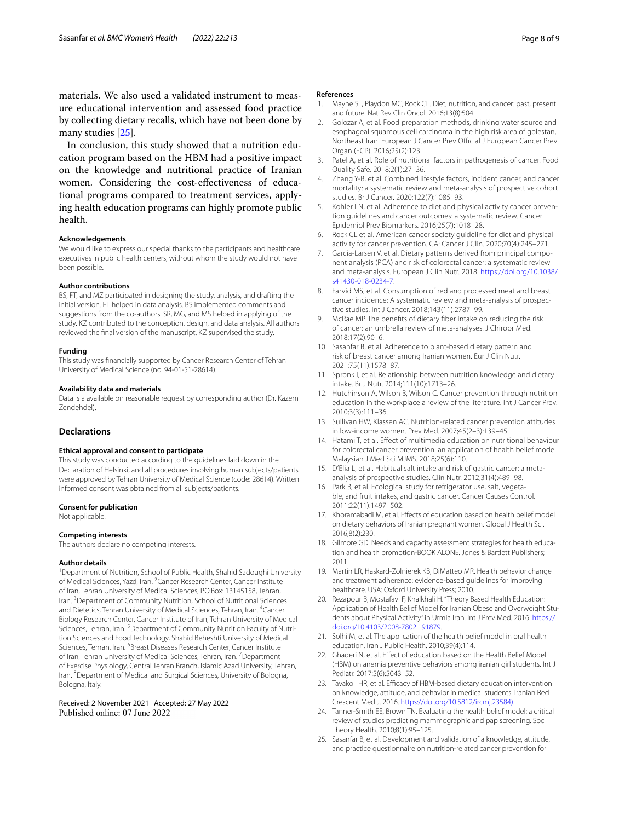materials. We also used a validated instrument to measure educational intervention and assessed food practice by collecting dietary recalls, which have not been done by many studies [[25](#page-7-22)].

In conclusion, this study showed that a nutrition education program based on the HBM had a positive impact on the knowledge and nutritional practice of Iranian women. Considering the cost-efectiveness of educational programs compared to treatment services, applying health education programs can highly promote public health.

#### **Acknowledgements**

We would like to express our special thanks to the participants and healthcare executives in public health centers, without whom the study would not have been possible.

#### **Author contributions**

BS, FT, and MZ participated in designing the study, analysis, and drafting the initial version. FT helped in data analysis. BS implemented comments and suggestions from the co-authors. SR, MG, and MS helped in applying of the study. KZ contributed to the conception, design, and data analysis. All authors reviewed the fnal version of the manuscript. KZ supervised the study.

#### **Funding**

This study was fnancially supported by Cancer Research Center of Tehran University of Medical Science (no. 94-01-51-28614).

#### **Availability data and materials**

Data is a available on reasonable request by corresponding author (Dr. Kazem Zendehdel).

#### **Declarations**

#### **Ethical approval and consent to participate**

This study was conducted according to the guidelines laid down in the Declaration of Helsinki, and all procedures involving human subjects/patients were approved by Tehran University of Medical Science (code: 28614). Written informed consent was obtained from all subjects/patients.

#### **Consent for publication**

Not applicable.

#### **Competing interests**

The authors declare no competing interests.

#### **Author details**

<sup>1</sup> Department of Nutrition, School of Public Health, Shahid Sadoughi University of Medical Sciences, Yazd, Iran. <sup>2</sup> Cancer Research Center, Cancer Institute of Iran, Tehran University of Medical Sciences, P.O.Box: 13145158, Tehran, Iran. <sup>3</sup> Department of Community Nutrition, School of Nutritional Sciences and Dietetics, Tehran University of Medical Sciences, Tehran, Iran. <sup>4</sup>Cancer Biology Research Center, Cancer Institute of Iran, Tehran University of Medical Sciences, Tehran, Iran. <sup>5</sup> Department of Community Nutrition Faculty of Nutrition Sciences and Food Technology, Shahid Beheshti University of Medical Sciences, Tehran, Iran. <sup>6</sup>Breast Diseases Research Center, Cancer Institute of Iran, Tehran University of Medical Sciences, Tehran, Iran. <sup>7</sup> Department of Exercise Physiology, Central Tehran Branch, Islamic Azad University, Tehran, Iran. <sup>8</sup> Department of Medical and Surgical Sciences, University of Bologna, Bologna, Italy.

Received: 2 November 2021 Accepted: 27 May 2022

#### **References**

- <span id="page-7-0"></span>1. Mayne ST, Playdon MC, Rock CL. Diet, nutrition, and cancer: past, present and future. Nat Rev Clin Oncol. 2016;13(8):504.
- <span id="page-7-2"></span>2. Golozar A, et al. Food preparation methods, drinking water source and esophageal squamous cell carcinoma in the high risk area of golestan. Northeast Iran. European J Cancer Prev Official J European Cancer Prev Organ (ECP). 2016;25(2):123.
- <span id="page-7-1"></span>3. Patel A, et al. Role of nutritional factors in pathogenesis of cancer. Food Quality Safe. 2018;2(1):27–36.
- <span id="page-7-3"></span>4. Zhang Y-B, et al. Combined lifestyle factors, incident cancer, and cancer mortality: a systematic review and meta-analysis of prospective cohort studies. Br J Cancer. 2020;122(7):1085–93.
- <span id="page-7-4"></span>5. Kohler LN, et al. Adherence to diet and physical activity cancer prevention guidelines and cancer outcomes: a systematic review. Cancer Epidemiol Prev Biomarkers. 2016;25(7):1018–28.
- <span id="page-7-5"></span>Rock CL et al. American cancer society guideline for diet and physical activity for cancer prevention. CA: Cancer J Clin. 2020;70(4):245–271.
- <span id="page-7-6"></span>7. Garcia-Larsen V, et al. Dietary patterns derived from principal component analysis (PCA) and risk of colorectal cancer: a systematic review and meta-analysis. European J Clin Nutr. 2018. [https://doi.org/10.1038/](https://doi.org/10.1038/s41430-018-0234-7) [s41430-018-0234-7.](https://doi.org/10.1038/s41430-018-0234-7)
- 8. Farvid MS, et al. Consumption of red and processed meat and breast cancer incidence: A systematic review and meta-analysis of prospective studies. Int J Cancer. 2018;143(11):2787–99.
- <span id="page-7-7"></span>9. McRae MP. The benefts of dietary fber intake on reducing the risk of cancer: an umbrella review of meta-analyses. J Chiropr Med. 2018;17(2):90–6.
- <span id="page-7-8"></span>10. Sasanfar B, et al. Adherence to plant-based dietary pattern and risk of breast cancer among Iranian women. Eur J Clin Nutr. 2021;75(11):1578–87.
- <span id="page-7-9"></span>11. Spronk I, et al. Relationship between nutrition knowledge and dietary intake. Br J Nutr. 2014;111(10):1713–26.
- <span id="page-7-10"></span>12. Hutchinson A, Wilson B, Wilson C. Cancer prevention through nutrition education in the workplace a review of the literature. Int J Cancer Prev. 2010;3(3):111–36.
- <span id="page-7-11"></span>13. Sullivan HW, Klassen AC. Nutrition-related cancer prevention attitudes in low-income women. Prev Med. 2007;45(2–3):139–45.
- <span id="page-7-12"></span>14. Hatami T, et al. Efect of multimedia education on nutritional behaviour for colorectal cancer prevention: an application of health belief model. Malaysian J Med Sci MJMS. 2018;25(6):110.
- <span id="page-7-13"></span>15. D'Elia L, et al. Habitual salt intake and risk of gastric cancer: a metaanalysis of prospective studies. Clin Nutr. 2012;31(4):489–98.
- <span id="page-7-14"></span>16. Park B, et al. Ecological study for refrigerator use, salt, vegetable, and fruit intakes, and gastric cancer. Cancer Causes Control. 2011;22(11):1497–502.
- <span id="page-7-15"></span>17. Khoramabadi M, et al. Efects of education based on health belief model on dietary behaviors of Iranian pregnant women. Global J Health Sci. 2016;8(2):230.
- <span id="page-7-16"></span>18. Gilmore GD. Needs and capacity assessment strategies for health education and health promotion-BOOK ALONE. Jones & Bartlett Publishers; 2011.
- <span id="page-7-17"></span>19. Martin LR, Haskard-Zolnierek KB, DiMatteo MR. Health behavior change and treatment adherence: evidence-based guidelines for improving healthcare. USA: Oxford University Press; 2010.
- 20. Rezapour B, Mostafavi F, Khalkhali H. "Theory Based Health Education: Application of Health Belief Model for Iranian Obese and Overweight Students about Physical Activity" in Urmia Iran. Int J Prev Med. 2016. [https://](https://doi.org/10.4103/2008-7802.191879) [doi.org/10.4103/2008-7802.191879](https://doi.org/10.4103/2008-7802.191879).
- <span id="page-7-18"></span>21. Solhi M, et al. The application of the health belief model in oral health education. Iran J Public Health. 2010;39(4):114.
- <span id="page-7-19"></span>22. Ghaderi N, et al. Effect of education based on the Health Belief Model (HBM) on anemia preventive behaviors among iranian girl students. Int J Pediatr. 2017;5(6):5043–52.
- <span id="page-7-20"></span>23. Tavakoli HR, et al. Efficacy of HBM-based dietary education intervention on knowledge, attitude, and behavior in medical students. Iranian Red Crescent Med J. 2016. [https://doi.org/10.5812/ircmj.23584\).](https://doi.org/10.5812/ircmj.23584))
- <span id="page-7-21"></span>24. Tanner-Smith EE, Brown TN. Evaluating the health belief model: a critical review of studies predicting mammographic and pap screening. Soc Theory Health. 2010;8(1):95–125.
- <span id="page-7-22"></span>25. Sasanfar B, et al. Development and validation of a knowledge, attitude, and practice questionnaire on nutrition-related cancer prevention for